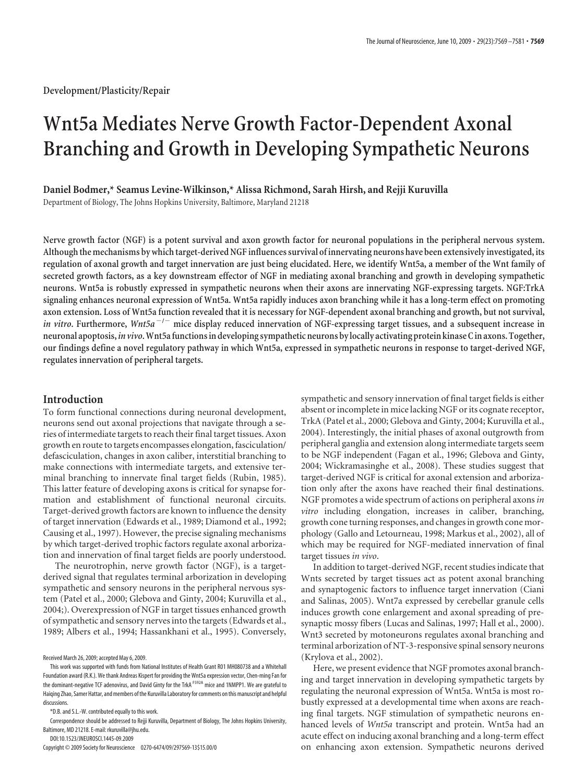# **Wnt5a Mediates Nerve Growth Factor-Dependent Axonal Branching and Growth in Developing Sympathetic Neurons**

**Daniel Bodmer,\* Seamus Levine-Wilkinson,\* Alissa Richmond, Sarah Hirsh, and Rejji Kuruvilla**

Department of Biology, The Johns Hopkins University, Baltimore, Maryland 21218

**Nerve growth factor (NGF) is a potent survival and axon growth factor for neuronal populations in the peripheral nervous system. Althoughthe mechanisms by whichtarget-derived NGF influences survival of innervating neurons have been extensively investigated, its regulation of axonal growth and target innervation are just being elucidated. Here, we identify Wnt5a, a member of the Wnt family of secreted growth factors, as a key downstream effector of NGF in mediating axonal branching and growth in developing sympathetic neurons. Wnt5a is robustly expressed in sympathetic neurons when their axons are innervating NGF-expressing targets. NGF:TrkA signaling enhances neuronal expression of Wnt5a. Wnt5a rapidly induces axon branching while it has a long-term effect on promoting axon extension. Loss of Wnt5a function revealed that it is necessary for NGF-dependent axonal branching and growth, but not survival,** *in vitro*. Furthermore, *Wnt5a*<sup>-/-</sup> mice display reduced innervation of NGF-expressing target tissues, and a subsequent increase in **neuronal apoptosis,***in vivo***.Wnt5afunctionsin developing sympathetic neurons by locally activating protein kinase Cin axons. Together, our findings define a novel regulatory pathway in which Wnt5a, expressed in sympathetic neurons in response to target-derived NGF, regulates innervation of peripheral targets.**

## **Introduction**

To form functional connections during neuronal development, neurons send out axonal projections that navigate through a series of intermediate targets to reach their final target tissues. Axon growth en route to targets encompasses elongation, fasciculation/ defasciculation, changes in axon caliber, interstitial branching to make connections with intermediate targets, and extensive terminal branching to innervate final target fields (Rubin, 1985). This latter feature of developing axons is critical for synapse formation and establishment of functional neuronal circuits. Target-derived growth factors are known to influence the density of target innervation (Edwards et al., 1989; Diamond et al., 1992; Causing et al., 1997). However, the precise signaling mechanisms by which target-derived trophic factors regulate axonal arborization and innervation of final target fields are poorly understood.

The neurotrophin, nerve growth factor (NGF), is a targetderived signal that regulates terminal arborization in developing sympathetic and sensory neurons in the peripheral nervous system (Patel et al., 2000; Glebova and Ginty, 2004; Kuruvilla et al., 2004;). Overexpression of NGF in target tissues enhanced growth of sympathetic and sensory nerves into the targets (Edwards et al., 1989; Albers et al., 1994; Hassankhani et al., 1995). Conversely,

Received March 26, 2009; accepted May 6, 2009.

DOI:10.1523/JNEUROSCI.1445-09.2009

Copyright © 2009 Society for Neuroscience 0270-6474/09/297569-13\$15.00/0

sympathetic and sensory innervation of final target fields is either absent or incomplete in mice lacking NGF or its cognate receptor, TrkA (Patel et al., 2000; Glebova and Ginty, 2004; Kuruvilla et al., 2004). Interestingly, the initial phases of axonal outgrowth from peripheral ganglia and extension along intermediate targets seem to be NGF independent (Fagan et al., 1996; Glebova and Ginty, 2004; Wickramasinghe et al., 2008). These studies suggest that target-derived NGF is critical for axonal extension and arborization only after the axons have reached their final destinations. NGF promotes a wide spectrum of actions on peripheral axons*in vitro* including elongation, increases in caliber, branching, growth cone turning responses, and changes in growth cone morphology (Gallo and Letourneau, 1998; Markus et al., 2002), all of which may be required for NGF-mediated innervation of final target tissues *in vivo*.

In addition to target-derived NGF, recent studies indicate that Wnts secreted by target tissues act as potent axonal branching and synaptogenic factors to influence target innervation (Ciani and Salinas, 2005). Wnt7a expressed by cerebellar granule cells induces growth cone enlargement and axonal spreading of presynaptic mossy fibers (Lucas and Salinas, 1997; Hall et al., 2000). Wnt3 secreted by motoneurons regulates axonal branching and terminal arborization of NT-3-responsive spinal sensory neurons (Krylova et al., 2002).

Here, we present evidence that NGF promotes axonal branching and target innervation in developing sympathetic targets by regulating the neuronal expression of Wnt5a. Wnt5a is most robustly expressed at a developmental time when axons are reaching final targets. NGF stimulation of sympathetic neurons enhanced levels of *Wnt5a* transcript and protein. Wnt5a had an acute effect on inducing axonal branching and a long-term effect on enhancing axon extension. Sympathetic neurons derived

This work was supported with funds from National Institutes of Health Grant R01 MH080738 and a Whitehall Foundation award (R.K.). We thank Andreas Kispert for providing the Wnt5a expression vector, Chen-ming Fan for the dominant-negative TCF adenovirus, and David Ginty for the TrkA F592A mice and 1NMPP1. We are grateful to Haiging Zhao, Samer Hattar, and members of the Kuruvilla Laboratory for comments on this manuscript and helpful discussions.

<sup>\*</sup>D.B. and S.L.-W. contributed equally to this work.

Correspondence should be addressed to Rejji Kuruvilla, Department of Biology, The Johns Hopkins University, Baltimore, MD 21218. E-mail: rkuruvilla@jhu.edu.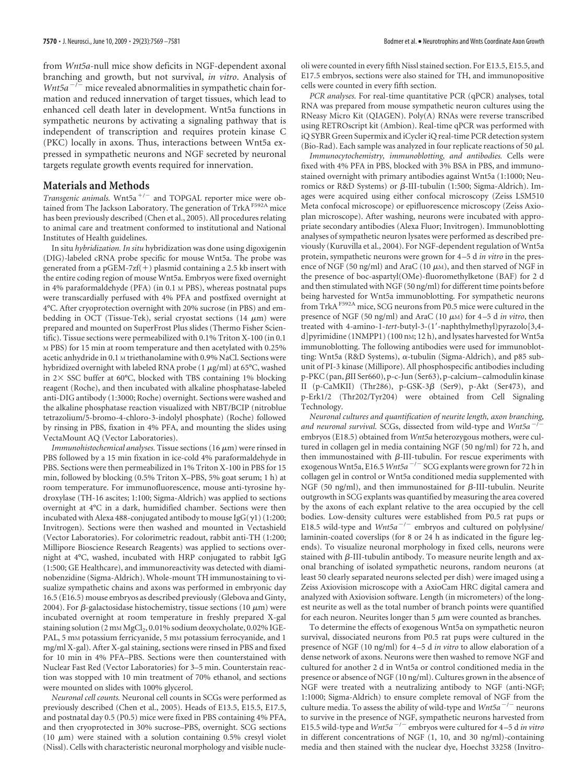from *Wnt5a*-null mice show deficits in NGF-dependent axonal branching and growth, but not survival, *in vitro*. Analysis of *Wnt5a<sup>* $-/-$ *</sup>* mice revealed abnormalities in sympathetic chain formation and reduced innervation of target tissues, which lead to enhanced cell death later in development. Wnt5a functions in sympathetic neurons by activating a signaling pathway that is independent of transcription and requires protein kinase C (PKC) locally in axons. Thus, interactions between Wnt5a expressed in sympathetic neurons and NGF secreted by neuronal targets regulate growth events required for innervation.

## **Materials and Methods**

Transgenic animals. Wnt5a<sup>+/-</sup> and TOPGAL reporter mice were obtained from The Jackson Laboratory. The generation of TrkA<sup>F592A</sup> mice has been previously described (Chen et al., 2005). All procedures relating to animal care and treatment conformed to institutional and National Institutes of Health guidelines.

In situ *hybridization. In situ* hybridization was done using digoxigenin (DIG)-labeled cRNA probe specific for mouse Wnt5a. The probe was generated from a pGEM-7zf $(+)$  plasmid containing a 2.5 kb insert with the entire coding region of mouse Wnt5a. Embryos were fixed overnight in 4% paraformaldehyde (PFA) (in 0.1 M PBS), whereas postnatal pups were transcardially perfused with 4% PFA and postfixed overnight at 4°C. After cryoprotection overnight with 20% sucrose (in PBS) and embedding in OCT (Tissue-Tek), serial cryostat sections (14  $\mu$ m) were prepared and mounted on SuperFrost Plus slides (Thermo Fisher Scientific). Tissue sections were permeabilized with 0.1% Triton X-100 (in 0.1 M PBS) for 15 min at room temperature and then acetylated with 0.25% acetic anhydride in 0.1 M triethanolamine with 0.9% NaCl. Sections were hybridized overnight with labeled RNA probe (1  $\mu$ g/ml) at 65°C, washed in  $2 \times$  SSC buffer at 60°C, blocked with TBS containing 1% blocking reagent (Roche), and then incubated with alkaline phosphatase-labeled anti-DIG antibody (1:3000; Roche) overnight. Sections were washed and the alkaline phosphatase reaction visualized with NBT/BCIP (nitroblue tetrazolium/5-bromo-4-chloro-3-indolyl phosphate) (Roche) followed by rinsing in PBS, fixation in 4% PFA, and mounting the slides using VectaMount AQ (Vector Laboratories).

*Immunohistochemical analyses.* Tissue sections  $(16 \mu m)$  were rinsed in PBS followed by a 15 min fixation in ice-cold 4% paraformaldehyde in PBS. Sections were then permeabilized in 1% Triton X-100 in PBS for 15 min, followed by blocking (0.5% Triton X–PBS, 5% goat serum; 1 h) at room temperature. For immunofluorescence, mouse anti-tyrosine hydroxylase (TH-16 ascites; 1:100; Sigma-Aldrich) was applied to sections overnight at 4°C in a dark, humidified chamber. Sections were then incubated with Alexa 488-conjugated antibody to mouse IgG( $\gamma$ 1) (1:200; Invitrogen). Sections were then washed and mounted in Vectashield (Vector Laboratories). For colorimetric readout, rabbit anti-TH (1:200; Millipore Bioscience Research Reagents) was applied to sections overnight at 4°C, washed, incubated with HRP conjugated to rabbit IgG (1:500; GE Healthcare), and immunoreactivity was detected with diaminobenzidine (Sigma-Aldrich). Whole-mount TH immunostaining to visualize sympathetic chains and axons was performed in embryonic day 16.5 (E16.5) mouse embryos as described previously (Glebova and Ginty, 2004). For  $\beta$ -galactosidase histochemistry, tissue sections (10  $\mu$ m) were incubated overnight at room temperature in freshly prepared X-gal staining solution (2 mm MgCl<sub>2</sub>, 0.01% sodium deoxycholate, 0.02% IGE-PAL, 5 mM potassium ferricyanide, 5 mM potassium ferrocyanide, and 1 mg/ml X-gal). After X-gal staining, sections were rinsed in PBS and fixed for 10 min in 4% PFA–PBS. Sections were then counterstained with Nuclear Fast Red (Vector Laboratories) for 3–5 min. Counterstain reaction was stopped with 10 min treatment of 70% ethanol, and sections were mounted on slides with 100% glycerol.

*Neuronal cell counts.* Neuronal cell counts in SCGs were performed as previously described (Chen et al., 2005). Heads of E13.5, E15.5, E17.5, and postnatal day 0.5 (P0.5) mice were fixed in PBS containing 4% PFA, and then cryoprotected in 30% sucrose–PBS, overnight. SCG sections (10  $\mu$ m) were stained with a solution containing 0.5% cresyl violet (Nissl). Cells with characteristic neuronal morphology and visible nucleoli were counted in every fifth Nissl stained section. For E13.5, E15.5, and E17.5 embryos, sections were also stained for TH, and immunopositive cells were counted in every fifth section.

*PCR analyses.* For real-time quantitative PCR (qPCR) analyses, total RNA was prepared from mouse sympathetic neuron cultures using the RNeasy Micro Kit (QIAGEN). Poly(A) RNAs were reverse transcribed using RETROscript kit (Ambion). Real-time qPCR was performed with iQ SYBR Green Supermix and iCycler iQ real-time PCR detection system (Bio-Rad). Each sample was analyzed in four replicate reactions of 50  $\mu$ l.

*Immunocytochemistry, immunoblotting, and antibodies.* Cells were fixed with 4% PFA in PBS, blocked with 3% BSA in PBS, and immunostained overnight with primary antibodies against Wnt5a (1:1000; Neuromics or R&D Systems) or  $\beta$ -III-tubulin (1:500; Sigma-Aldrich). Images were acquired using either confocal microscopy (Zeiss LSM510 Meta confocal microscope) or epifluorescence microscopy (Zeiss Axioplan microscope). After washing, neurons were incubated with appropriate secondary antibodies (Alexa Fluor; Invitrogen). Immunoblotting analyses of sympathetic neuron lysates were performed as described previously (Kuruvilla et al., 2004). For NGF-dependent regulation of Wnt5a protein, sympathetic neurons were grown for 4 –5 d *in vitro* in the presence of NGF (50 ng/ml) and AraC (10  $\mu$ M), and then starved of NGF in the presence of boc-aspartyl(OMe)-fluoromethylketone (BAF) for 2 d and then stimulated with NGF (50 ng/ml) for different time points before being harvested for Wnt5a immunoblotting. For sympathetic neurons from TrkA<sup>F592A</sup> mice, SCG neurons from P0.5 mice were cultured in the presence of NGF (50 ng/ml) and AraC (10  $\mu$ M) for 4-5 d *in vitro*, then treated with 4-amino-1-*tert*-butyl-3-(1-naphthylmethyl)pyrazolo[3,4 d]pyrimidine (1NMPP1) (100 nM; 12 h), and lysates harvested for Wnt5a immunoblotting. The following antibodies were used for immunoblotting: Wnt5a (R&D Systems),  $\alpha$ -tubulin (Sigma-Aldrich), and p85 subunit of PI-3 kinase (Millipore). All phosphospecific antibodies including p-PKC (pan,  $\beta$ II Ser660), p-c-Jun (Ser63), p-calcium– calmodulin kinase II (p-CaMKII) (Thr286), p-GSK-3 $\beta$  (Ser9), p-Akt (Ser473), and p-Erk1/2 (Thr202/Tyr204) were obtained from Cell Signaling Technology.

*Neuronal cultures and quantification of neurite length, axon branching,* and neuronal survival. SCGs, dissected from wild-type and *Wnt5a*<sup>-</sup> embryos (E18.5) obtained from *Wnt5a* heterozygous mothers, were cultured in collagen gel in media containing NGF (50 ng/ml) for 72 h, and then immunostained with  $\beta$ -III-tubulin. For rescue experiments with exogenous Wnt5a, E16.5 *Wnt5a<sup>-/-</sup>SCG* explants were grown for 72 h in collagen gel in control or Wnt5a conditioned media supplemented with NGF (50 ng/ml), and then immunostained for  $\beta$ -III-tubulin. Neurite outgrowth in SCG explants was quantified by measuring the area covered by the axons of each explant relative to the area occupied by the cell bodies. Low-density cultures were established from P0.5 rat pups or E18.5 wild-type and *Wnt5a<sup>-/-</sup>* embryos and cultured on polylysine/ laminin-coated coverslips (for 8 or 24 h as indicated in the figure legends). To visualize neuronal morphology in fixed cells, neurons were stained with  $\beta$ -III-tubulin antibody. To measure neurite length and axonal branching of isolated sympathetic neurons, random neurons (at least 50 clearly separated neurons selected per dish) were imaged using a Zeiss Axiovision microscope with a AxioCam HRC digital camera and analyzed with Axiovision software. Length (in micrometers) of the longest neurite as well as the total number of branch points were quantified for each neuron. Neurites longer than  $5 \mu m$  were counted as branches.

To determine the effects of exogenous Wnt5a on sympathetic neuron survival, dissociated neurons from P0.5 rat pups were cultured in the presence of NGF (10 ng/ml) for 4 –5 d *in vitro* to allow elaboration of a dense network of axons. Neurons were then washed to remove NGF and cultured for another 2 d in Wnt5a or control conditioned media in the presence or absence of NGF (10 ng/ml). Cultures grown in the absence of NGF were treated with a neutralizing antibody to NGF (anti-NGF; 1:1000; Sigma-Aldrich) to ensure complete removal of NGF from the culture media. To assess the ability of wild-type and  $Wnt5a^{-/-}$  neurons to survive in the presence of NGF, sympathetic neurons harvested from E15.5 wild-type and *Wnt5a<sup>-/-</sup>* embryos were cultured for 4-5 d *in vitro* in different concentrations of NGF (1, 10, and 30 ng/ml)-containing media and then stained with the nuclear dye, Hoechst 33258 (Invitro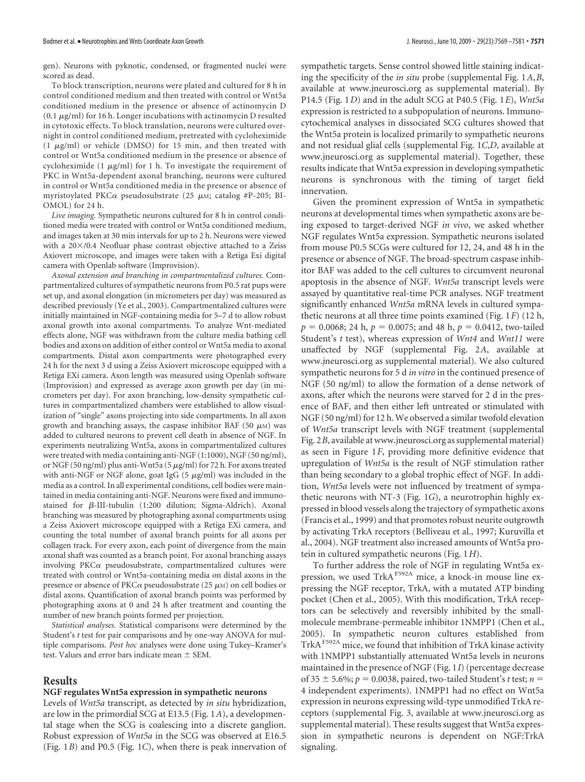gen). Neurons with pyknotic, condensed, or fragmented nuclei were scored as dead.

To block transcription, neurons were plated and cultured for 8 h in control conditioned medium and then treated with control or Wnt5a conditioned medium in the presence or absence of actinomycin D  $(0.1 \mu g/ml)$  for 16 h. Longer incubations with actinomycin D resulted in cytotoxic effects. To block translation, neurons were cultured overnight in control conditioned medium, pretreated with cycloheximide (1  $\mu$ g/ml) or vehicle (DMSO) for 15 min, and then treated with control or Wnt5a conditioned medium in the presence or absence of cycloheximide (1  $\mu$ g/ml) for 1 h. To investigate the requirement of PKC in Wnt5a-dependent axonal branching, neurons were cultured in control or Wnt5a conditioned media in the presence or absence of myristoylated PKC $\alpha$  pseudosubstrate (25  $\mu$ M; catalog #P-205; BI-OMOL) for 24 h.

*Live imaging.* Sympathetic neurons cultured for 8 h in control conditioned media were treated with control or Wnt5a conditioned medium, and images taken at 30 min intervals for up to 2 h. Neurons were viewed with a  $20\times/0.4$  Neofluar phase contrast objective attached to a Zeiss Axiovert microscope, and images were taken with a Retiga Exi digital camera with Openlab software (Improvision).

*Axonal extension and branching in compartmentalized cultures.* Compartmentalized cultures of sympathetic neurons from P0.5 rat pups were set up, and axonal elongation (in micrometers per day) was measured as described previously (Ye et al., 2003). Compartmentalized cultures were initially maintained in NGF-containing media for 5–7 d to allow robust axonal growth into axonal compartments. To analyze Wnt-mediated effects alone, NGF was withdrawn from the culture media bathing cell bodies and axons on addition of either control or Wnt5a media to axonal compartments. Distal axon compartments were photographed every 24 h for the next 3 d using a Zeiss Axiovert microscope equipped with a Retiga EXi camera. Axon length was measured using Openlab software (Improvision) and expressed as average axon growth per day (in micrometers per day). For axon branching, low-density sympathetic cultures in compartmentalized chambers were established to allow visualization of "single" axons projecting into side compartments. In all axon growth and branching assays, the caspase inhibitor BAF (50  $\mu$ M) was added to cultured neurons to prevent cell death in absence of NGF. In experiments neutralizing Wnt5a, axons in compartmentalized cultures were treated with media containing anti-NGF (1:1000), NGF (50 ng/ml), or NGF (50 ng/ml) plus anti-Wnt5a (5  $\mu$ g/ml) for 72 h. For axons treated with anti-NGF or NGF alone, goat IgG  $(5 \ \mu\text{g/ml})$  was included in the media as a control. In all experimental conditions, cell bodies were maintained in media containing anti-NGF. Neurons were fixed and immunostained for  $\beta$ -III-tubulin (1:200 dilution; Sigma-Aldrich). Axonal branching was measured by photographing axonal compartments using a Zeiss Axiovert microscope equipped with a Retiga EXi camera, and counting the total number of axonal branch points for all axons per collagen track. For every axon, each point of divergence from the main axonal shaft was counted as a branch point. For axonal branching assays involving  $PKC\alpha$  pseudosubstrate, compartmentalized cultures were treated with control or Wnt5a-containing media on distal axons in the presence or absence of PKC $\alpha$  pseudosubstrate (25  $\mu$ M) on cell bodies or distal axons. Quantification of axonal branch points was performed by photographing axons at 0 and 24 h after treatment and counting the number of new branch points formed per projection.

*Statistical analyses.* Statistical comparisons were determined by the Student's *t* test for pair comparisons and by one-way ANOVA for multiple comparisons. *Post hoc* analyses were done using Tukey–Kramer's test. Values and error bars indicate mean  $\pm$  SEM.

### **Results**

#### **NGF regulates Wnt5a expression in sympathetic neurons**

Levels of *Wnt5a* transcript, as detected by *in situ* hybridization, are low in the primordial SCG at E13.5 (Fig. 1*A*), a developmental stage when the SCG is coalescing into a discrete ganglion. Robust expression of *Wnt5a* in the SCG was observed at E16.5 (Fig. 1*B*) and P0.5 (Fig. 1*C*), when there is peak innervation of sympathetic targets. Sense control showed little staining indicating the specificity of the *in situ* probe (supplemental Fig. 1*A*,*B*, available at www.jneurosci.org as supplemental material). By P14.5 (Fig. 1*D*) and in the adult SCG at P40.5 (Fig. 1*E*), *Wnt5a* expression is restricted to a subpopulation of neurons. Immunocytochemical analyses in dissociated SCG cultures showed that the Wnt5a protein is localized primarily to sympathetic neurons and not residual glial cells (supplemental Fig. 1*C*,*D*, available at www.jneurosci.org as supplemental material). Together, these results indicate that Wnt5a expression in developing sympathetic neurons is synchronous with the timing of target field

innervation. Given the prominent expression of Wnt5a in sympathetic neurons at developmental times when sympathetic axons are being exposed to target-derived NGF *in vivo*, we asked whether NGF regulates Wnt5a expression. Sympathetic neurons isolated from mouse P0.5 SCGs were cultured for 12, 24, and 48 h in the presence or absence of NGF. The broad-spectrum caspase inhibitor BAF was added to the cell cultures to circumvent neuronal apoptosis in the absence of NGF. *Wnt5a* transcript levels were assayed by quantitative real-time PCR analyses. NGF treatment significantly enhanced *Wnt5a* mRNA levels in cultured sympathetic neurons at all three time points examined (Fig. 1*F*) (12 h,  $p = 0.0068$ ; 24 h,  $p = 0.0075$ ; and 48 h,  $p = 0.0412$ , two-tailed Student's *t* test), whereas expression of *Wnt4* and *Wnt11* were unaffected by NGF (supplemental Fig. 2*A*, available at www.jneurosci.org as supplemental material). We also cultured sympathetic neurons for 5 d *in vitro* in the continued presence of NGF (50 ng/ml) to allow the formation of a dense network of axons, after which the neurons were starved for 2 d in the presence of BAF, and then either left untreated or stimulated with NGF (50 ng/ml) for 12 h. We observed a similar twofold elevation of *Wnt5a* transcript levels with NGF treatment (supplemental Fig. 2*B*, available at www.jneurosci.org as supplemental material) as seen in Figure 1*F*, providing more definitive evidence that upregulation of *Wnt5a* is the result of NGF stimulation rather than being secondary to a global trophic effect of NGF. In addition, *Wnt5a* levels were not influenced by treatment of sympathetic neurons with NT-3 (Fig. 1*G*), a neurotrophin highly expressed in blood vessels along the trajectory of sympathetic axons (Francis et al., 1999) and that promotes robust neurite outgrowth by activating TrkA receptors (Belliveau et al., 1997; Kuruvilla et al., 2004). NGF treatment also increased amounts of Wnt5a protein in cultured sympathetic neurons (Fig. 1*H*).

To further address the role of NGF in regulating Wnt5a expression, we used TrkA<sup>F592A</sup> mice, a knock-in mouse line expressing the NGF receptor, TrkA, with a mutated ATP binding pocket (Chen et al., 2005). With this modification, TrkA receptors can be selectively and reversibly inhibited by the smallmolecule membrane-permeable inhibitor 1NMPP1 (Chen et al., 2005). In sympathetic neuron cultures established from  $\operatorname{Trk}\mathrm{A}^{\text{F592A}}$  mice, we found that inhibition of  $\operatorname{Trk}\mathrm{A}$  kinase activity with 1NMPP1 substantially attenuated Wnt5a levels in neurons maintained in the presence of NGF (Fig. 1*I*) (percentage decrease of 35  $\pm$  5.6%;  $p = 0.0038$ , paired, two-tailed Student's *t* test;  $n =$ 4 independent experiments). 1NMPP1 had no effect on Wnt5a expression in neurons expressing wild-type unmodified TrkA receptors (supplemental Fig. 3, available at www.jneurosci.org as supplemental material). These results suggest that Wnt5a expression in sympathetic neurons is dependent on NGF:TrkA signaling.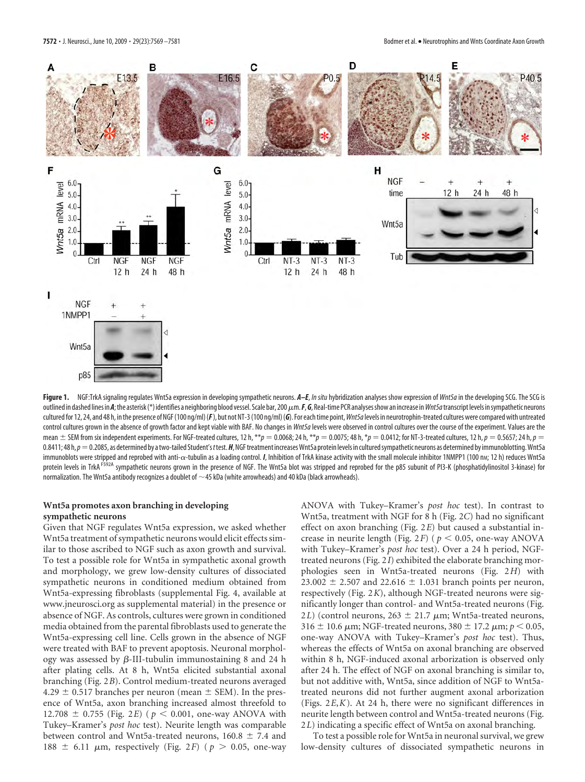

**Figure 1.** NGF:TrkA signaling regulates Wnt5a expression in developing sympathetic neurons. *A–E*, *In situ* hybridization analyses show expression of *Wnt5a*in the developing SCG. The SCG is outlined in dashed lines in A; the asterisk (\*) identifies a neighboring blood vessel. Scale bar, 200  $\mu$ m. **F, G**, Real-time PCR analyses show an increase in *Wnt5a* transcript levels in sympathetic neurons cultured for 12, 24, and 48 h, in the presence of NGF (100 ng/ml) ( $F$ ), but not NT-3 (100 ng/ml) ( $G$ ). For each time point, *Wnt5a* levels in neurotrophin-treated cultures were compared with untreated control cultures grown in the absence of growth factor and kept viable with BAF. No changes in *Wnt5a*levels were observed in control cultures over the course of the experiment. Values are the mean  $\pm$  SEM from six independent experiments. For NGF-treated cultures, 12 h, \*\* $p = 0.0068$ ; 24 h, \*\* $p = 0.0075$ ; 48 h, \* $p = 0.0412$ ; for NT-3-treated cultures, 12 h,  $p = 0.5657$ ; 24 h,  $p = 0.068$ ; 24 h,  $p = 0.0075$ ; 24 0.8411; 48 h,  $p=0.2085$ , as determined by a two-tailed Student's *t* test. **H**, NGF treatment increases Wnt5a protein levels in cultured sympathetic neurons as determined by immunoblotting. Wnt5a immunoblots were stripped and reprobed with anti- $\alpha$ -tubulin as a loading control. *I*, Inhibition of TrkA kinase activity with the small molecule inhibitor 1NMPP1 (100 n<sub>M</sub>; 12 h) reduces Wnt5a protein levels in TrkA<sup>F592A</sup> sympathetic neurons grown in the presence of NGF. The Wnt5a blot was stripped and reprobed for the p85 subunit of PI3-K (phosphatidylinositol 3-kinase) for normalization. The Wnt5a antibody recognizes a doublet of  $\sim$ 45 kDa (white arrowheads) and 40 kDa (black arrowheads).

#### **Wnt5a promotes axon branching in developing sympathetic neurons**

Given that NGF regulates Wnt5a expression, we asked whether Wnt5a treatment of sympathetic neurons would elicit effects similar to those ascribed to NGF such as axon growth and survival. To test a possible role for Wnt5a in sympathetic axonal growth and morphology, we grew low-density cultures of dissociated sympathetic neurons in conditioned medium obtained from Wnt5a-expressing fibroblasts (supplemental Fig. 4, available at www.jneurosci.org as supplemental material) in the presence or absence of NGF. As controls, cultures were grown in conditioned media obtained from the parental fibroblasts used to generate the Wnt5a-expressing cell line. Cells grown in the absence of NGF were treated with BAF to prevent apoptosis. Neuronal morphology was assessed by  $\beta$ -III-tubulin immunostaining 8 and 24 h after plating cells. At 8 h, Wnt5a elicited substantial axonal branching (Fig. 2*B*). Control medium-treated neurons averaged  $4.29 \pm 0.517$  branches per neuron (mean  $\pm$  SEM). In the presence of Wnt5a, axon branching increased almost threefold to 12.708  $\pm$  0.755 (Fig. 2*E*) ( $p < 0.001$ , one-way ANOVA with Tukey–Kramer's *post hoc* test). Neurite length was comparable between control and Wnt5a-treated neurons, 160.8  $\pm$  7.4 and 188  $\pm$  6.11  $\mu$ m, respectively (Fig. 2*F*) ( $p > 0.05$ , one-way

ANOVA with Tukey–Kramer's *post hoc* test). In contrast to Wnt5a, treatment with NGF for 8 h (Fig. 2*C*) had no significant effect on axon branching (Fig. 2*E*) but caused a substantial increase in neurite length (Fig.  $2F$ ) ( $p < 0.05$ , one-way ANOVA with Tukey–Kramer's *post hoc* test). Over a 24 h period, NGFtreated neurons (Fig. 2*I*) exhibited the elaborate branching morphologies seen in Wnt5a-treated neurons (Fig. 2*H*) with 23.002  $\pm$  2.507 and 22.616  $\pm$  1.031 branch points per neuron, respectively (Fig. 2*K*), although NGF-treated neurons were significantly longer than control- and Wnt5a-treated neurons (Fig. 2*L*) (control neurons,  $263 \pm 21.7 \mu m$ ; Wnt5a-treated neurons,  $316 \pm 10.6 \ \mu m$ ; NGF-treated neurons,  $380 \pm 17.2 \ \mu m$ ;  $p < 0.05$ , one-way ANOVA with Tukey–Kramer's *post hoc* test). Thus, whereas the effects of Wnt5a on axonal branching are observed within 8 h, NGF-induced axonal arborization is observed only after 24 h. The effect of NGF on axonal branching is similar to, but not additive with, Wnt5a, since addition of NGF to Wnt5atreated neurons did not further augment axonal arborization (Figs. 2*E*,*K*). At 24 h, there were no significant differences in neurite length between control and Wnt5a-treated neurons (Fig. 2*L*) indicating a specific effect of Wnt5a on axonal branching.

To test a possible role for Wnt5a in neuronal survival, we grew low-density cultures of dissociated sympathetic neurons in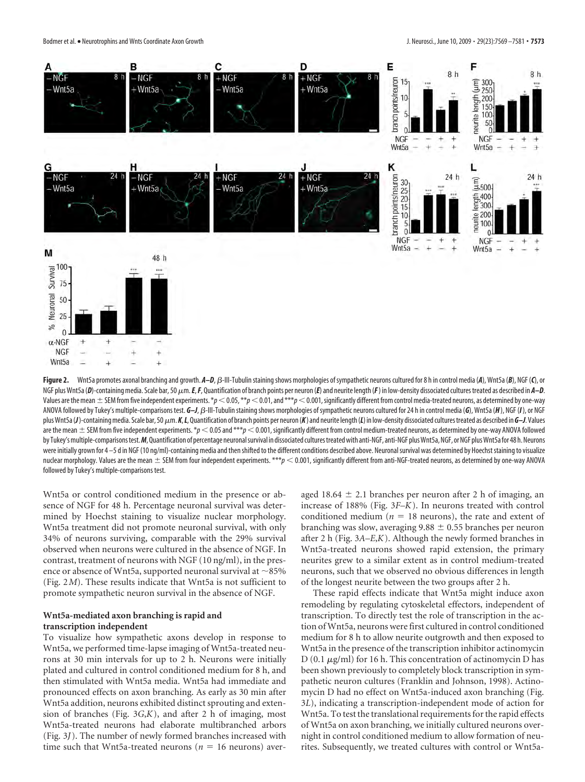

Figure 2. Wnt5a promotes axonal branching and growth.  $A-D$ ,  $B$ -III-Tubulin staining shows morphologies of sympathetic neurons cultured for 8 h in control media (*A*), Wnt5a (*B*), NGF (*C*), or NGF plus Wnt5a (D)-containing media. Scale bar, 50  $\mu$ m. E, F, Quantification of branch points per neuron (E) and neurite length (F) in low-density dissociated cultures treated as described in A-D. Values are the mean  $\pm$  SEM from five independent experiments.  $*p<0.05$ ,  $**p<0.01$ , and  $***p<0.001$ , significantly different from control media-treated neurons, as determined by one-way ANOVA followed by Tukey's multiple-comparisons test.  $G-J$ ,  $\beta$ -III-Tubulin staining shows morphologies of sympathetic neurons cultured for 24 h in control media (6), Wnt5a (*H*), NGF (*I*), or NGF plus Wnt5a (J)-containing media. Scale bar, 50  $\mu$ m. K, L, Quantification of branch points per neuron (K) and neurite length (L) in low-density dissociated cultures treated as described in G-J. Values are the mean  $\pm$  SEM from five independent experiments.  $\ast$   $p$  < 0.05 and  $\ast\ast\ast$   $p$  < 0.001, significantly different from control medium-treated neurons, as determined by one-way ANOVA followed by Tukey's multiple-comparisons test. M, Quantification of percentage neuronal survival in dissociated cultures treated with anti-NGF, anti-NGF plus Wnt5a, NGF, or NGF plus Wnt5a for 48 h. Neurons were initially grown for 4-5 d in NGF (10 ng/ml)-containing media and then shifted to the different conditions described above. Neuronal survival was determined by Hoechst staining to visualize nuclear morphology. Values are the mean ± SEM from four independent experiments. \*\*\* $p < 0.001$ , significantly different from anti-NGF-treated neurons, as determined by one-way ANOVA followed by Tukey's multiple-comparisons test.

Wnt5a or control conditioned medium in the presence or absence of NGF for 48 h. Percentage neuronal survival was determined by Hoechst staining to visualize nuclear morphology. Wnt5a treatment did not promote neuronal survival, with only 34% of neurons surviving, comparable with the 29% survival observed when neurons were cultured in the absence of NGF. In contrast, treatment of neurons with NGF (10 ng/ml), in the presence or absence of Wnt5a, supported neuronal survival at  $\sim$ 85% (Fig. 2*M*). These results indicate that Wnt5a is not sufficient to promote sympathetic neuron survival in the absence of NGF.

## **Wnt5a-mediated axon branching is rapid and transcription independent**

To visualize how sympathetic axons develop in response to Wnt5a, we performed time-lapse imaging of Wnt5a-treated neurons at 30 min intervals for up to 2 h. Neurons were initially plated and cultured in control conditioned medium for 8 h, and then stimulated with Wnt5a media. Wnt5a had immediate and pronounced effects on axon branching. As early as 30 min after Wnt5a addition, neurons exhibited distinct sprouting and extension of branches (Fig. 3*G*,*K*), and after 2 h of imaging, most Wnt5a-treated neurons had elaborate multibranched arbors (Fig. 3*J*). The number of newly formed branches increased with time such that Wnt5a-treated neurons ( $n = 16$  neurons) averaged 18.64  $\pm$  2.1 branches per neuron after 2 h of imaging, an increase of 188% (Fig. 3*F–K*). In neurons treated with control conditioned medium ( $n = 18$  neurons), the rate and extent of branching was slow, averaging  $9.88 \pm 0.55$  branches per neuron after 2 h (Fig. 3*A–E*,*K*). Although the newly formed branches in Wnt5a-treated neurons showed rapid extension, the primary neurites grew to a similar extent as in control medium-treated neurons, such that we observed no obvious differences in length of the longest neurite between the two groups after 2 h.

These rapid effects indicate that Wnt5a might induce axon remodeling by regulating cytoskeletal effectors, independent of transcription. To directly test the role of transcription in the action of Wnt5a, neurons were first cultured in control conditioned medium for 8 h to allow neurite outgrowth and then exposed to Wnt5a in the presence of the transcription inhibitor actinomycin D  $(0.1 \mu g/ml)$  for 16 h. This concentration of actinomycin D has been shown previously to completely block transcription in sympathetic neuron cultures (Franklin and Johnson, 1998). Actinomycin D had no effect on Wnt5a-induced axon branching (Fig. 3*L*), indicating a transcription-independent mode of action for Wnt5a. To test the translational requirements for the rapid effects of Wnt5a on axon branching, we initially cultured neurons overnight in control conditioned medium to allow formation of neurites. Subsequently, we treated cultures with control or Wnt5a-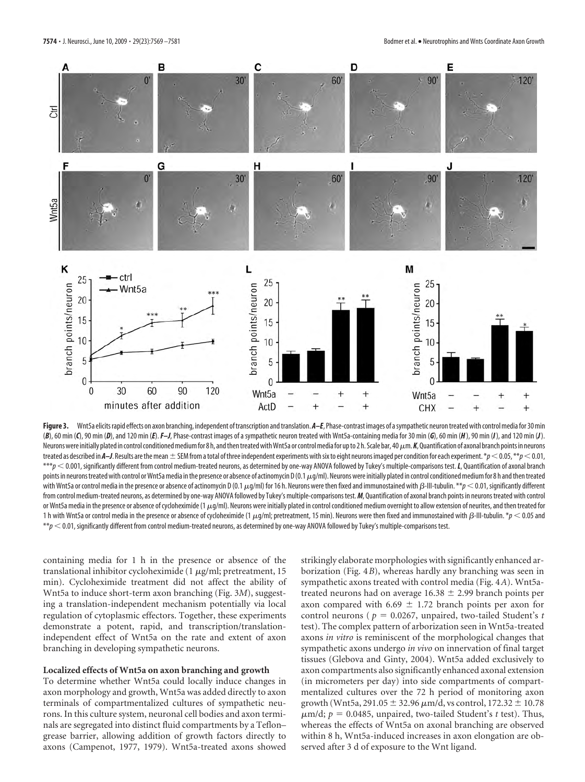

Figure 3. Wnt5a elicits rapid effects on axon branching, independent of transcription and translation. A–E, Phase-contrast images of a sympathetic neuron treated with control media for 30 min (B), 60 min (C), 90 min (D), and 120 min (E). F-J, Phase-contrast images of a sympathetic neuron treated with Wnt5a-containing media for 30 min (G), 60 min (H), 90 min (I), and 120 min (J). Neurons were initially plated in control conditioned medium for 8 h, and then treated with Wnt5a or control media for up to 2 h. Scale bar, 40  $\mu$ m. K, Quantification of axonal branch points in neurons treated as described in *A–J*. Results are the mean  $\pm$  SEM from a total of three independent experiments with six to eight neurons imaged per condition for each experiment.  $*p$  < 0.05,  $*p$  < 0.01, \*\*\**p* < 0.001, significantly different from control medium-treated neurons, as determined by one-way ANOVA followed by Tukey's multiple-comparisons test. *L*, Quantification of axonal branch points in neurons treated with control or Wnt5a media in the presence or absence of actinomycin D(0.1 µg/ml). Neurons were initially plated in control conditioned medium for 8 h and then treated with Wnt5a or control media in the presence or absence of actinomycin D (0.1  $\mu$ g/ml) for 16 h. Neurons were then fixed and immunostained with  $\beta$ -III-tubulin. \*\* $p$  < 0.01, significantly different from control medium-treated neurons, as determined by one-way ANOVA followed by Tukey's multiple-comparisons test.*M*, Quantification of axonal branch points in neurons treated with control or Wnt5a media in the presence or absence of cycloheximide (1 $\mu q/m$ ). Neurons were initially plated in control conditioned medium overnight to allow extension of neurites, and then treated for 1 h with Wnt5a or control media in the presence or absence of cycloheximide (1  $\mu$ g/ml; pretreatment, 15 min). Neurons were then fixed and immunostained with  $\beta$ -III-tubulin.  $\gamma p < 0.05$  and  $*p$   $<$  0.01, significantly different from control medium-treated neurons, as determined by one-way ANOVA followed by Tukey's multiple-comparisons test.

containing media for 1 h in the presence or absence of the translational inhibitor cycloheximide (1  $\mu$ g/ml; pretreatment, 15 min). Cycloheximide treatment did not affect the ability of Wnt5a to induce short-term axon branching (Fig. 3*M*), suggesting a translation-independent mechanism potentially via local regulation of cytoplasmic effectors. Together, these experiments demonstrate a potent, rapid, and transcription/translationindependent effect of Wnt5a on the rate and extent of axon branching in developing sympathetic neurons.

#### **Localized effects of Wnt5a on axon branching and growth**

To determine whether Wnt5a could locally induce changes in axon morphology and growth, Wnt5a was added directly to axon terminals of compartmentalized cultures of sympathetic neurons. In this culture system, neuronal cell bodies and axon terminals are segregated into distinct fluid compartments by a Teflon– grease barrier, allowing addition of growth factors directly to axons (Campenot, 1977, 1979). Wnt5a-treated axons showed

strikingly elaborate morphologies with significantly enhanced arborization (Fig. 4*B*), whereas hardly any branching was seen in sympathetic axons treated with control media (Fig. 4*A*). Wnt5atreated neurons had on average  $16.38 \pm 2.99$  branch points per axon compared with 6.69  $\pm$  1.72 branch points per axon for control neurons ( $p = 0.0267$ , unpaired, two-tailed Student's *t* test). The complex pattern of arborization seen in Wnt5a-treated axons *in vitro* is reminiscent of the morphological changes that sympathetic axons undergo *in vivo* on innervation of final target tissues (Glebova and Ginty, 2004). Wnt5a added exclusively to axon compartments also significantly enhanced axonal extension (in micrometers per day) into side compartments of compartmentalized cultures over the 72 h period of monitoring axon growth (Wnt5a, 291.05  $\pm$  32.96  $\mu$ m/d, vs control, 172.32  $\pm$  10.78  $\mu$ m/d;  $p = 0.0485$ , unpaired, two-tailed Student's *t* test). Thus, whereas the effects of Wnt5a on axonal branching are observed within 8 h, Wnt5a-induced increases in axon elongation are observed after 3 d of exposure to the Wnt ligand.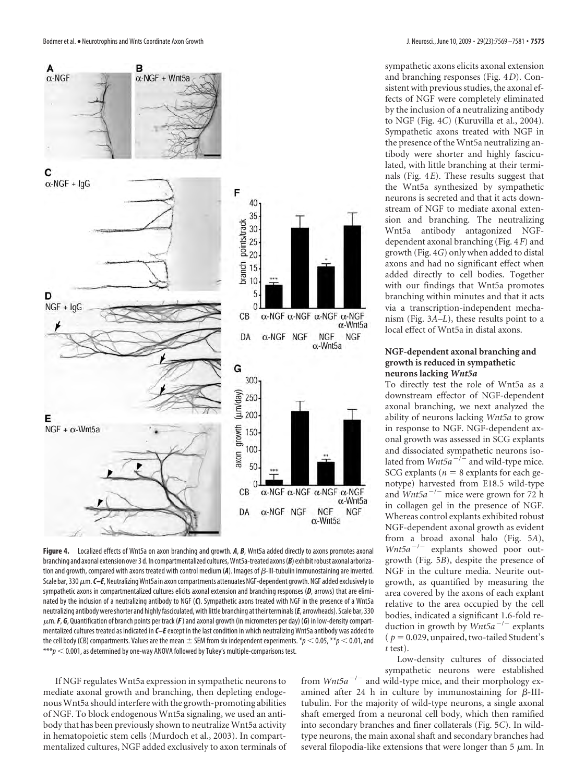

**Figure 4.** Localized effects of Wnt5a on axon branching and growth. *A*, *B*, Wnt5a added directly to axons promotes axonal branching and axonal extension over 3 d. In compartmentalized cultures, Wnt5a-treated axons (B) exhibit robust axonal arborization and growth, compared with axons treated with control medium (A). Images of  $\beta$ -III-tubulin immunostaining are inverted. Scale bar, 330 μm. C–E, Neutralizing Wnt5a in axon compartments attenuates NGF-dependent growth. NGF added exclusively to sympathetic axons in compartmentalized cultures elicits axonal extension and branching responses (*D*, arrows) that are eliminated by the inclusion of a neutralizing antibody to NGF (*C*). Sympathetic axons treated with NGF in the presence of a Wnt5a neutralizing antibody wereshorter and highly fasciculated, with little branching attheirterminals(*E*, arrowheads). Scale bar, 330 m.*F*, *G*, Quantification of branch points per track (*F*) and axonal growth (in micrometers per day) (*G*) in low-density compartmentalized cultures treated as indicated in *C–E*except in the last condition in which neutralizing Wnt5a antibody was added to the cell body (CB) compartments. Values are the mean  $\pm$  SEM from six independent experiments.  $*p$  < 0.05,  $*p$  < 0.01, and  $***p$   $<$  0.001, as determined by one-way ANOVA followed by Tukey's multiple-comparisons test.

If NGF regulates Wnt5a expression in sympathetic neurons to mediate axonal growth and branching, then depleting endogenousWnt5a should interfere with the growth-promoting abilities of NGF. To block endogenous Wnt5a signaling, we used an antibody that has been previously shown to neutralize Wnt5a activity in hematopoietic stem cells (Murdoch et al., 2003). In compartmentalized cultures, NGF added exclusively to axon terminals of sympathetic axons elicits axonal extension and branching responses (Fig. 4*D*). Consistent with previous studies, the axonal effects of NGF were completely eliminated by the inclusion of a neutralizing antibody to NGF (Fig. 4*C*) (Kuruvilla et al., 2004). Sympathetic axons treated with NGF in the presence of the Wnt5a neutralizing antibody were shorter and highly fasciculated, with little branching at their terminals (Fig. 4*E*). These results suggest that the Wnt5a synthesized by sympathetic neurons is secreted and that it acts downstream of NGF to mediate axonal extension and branching. The neutralizing Wnt5a antibody antagonized NGFdependent axonal branching (Fig. 4*F*) and growth (Fig. 4*G*) only when added to distal axons and had no significant effect when added directly to cell bodies. Together with our findings that Wnt5a promotes branching within minutes and that it acts via a transcription-independent mechanism (Fig. 3*A–L*), these results point to a local effect of Wnt5a in distal axons.

## **NGF-dependent axonal branching and growth is reduced in sympathetic neurons lacking** *Wnt5a*

To directly test the role of Wnt5a as a downstream effector of NGF-dependent axonal branching, we next analyzed the ability of neurons lacking *Wnt5a* to grow in response to NGF. NGF-dependent axonal growth was assessed in SCG explants and dissociated sympathetic neurons isolated from  $Wnt5a^{-/-}$  and wild-type mice. SCG explants ( $n = 8$  explants for each genotype) harvested from E18.5 wild-type and *Wnt5a<sup>-/-</sup>* mice were grown for 72 h in collagen gel in the presence of NGF. Whereas control explants exhibited robust NGF-dependent axonal growth as evident from a broad axonal halo (Fig. 5*A*), *Wnt5a<sup>-/-</sup>* explants showed poor outgrowth (Fig. 5*B*), despite the presence of NGF in the culture media. Neurite outgrowth, as quantified by measuring the area covered by the axons of each explant relative to the area occupied by the cell bodies, indicated a significant 1.6-fold reduction in growth by *Wnt5a<sup>-/-</sup>* explants ( $p = 0.029$ , unpaired, two-tailed Student's *t* test).

Low-density cultures of dissociated sympathetic neurons were established

from  $Wnt5a^{-/-}$  and wild-type mice, and their morphology examined after 24 h in culture by immunostaining for  $\beta$ -IIItubulin. For the majority of wild-type neurons, a single axonal shaft emerged from a neuronal cell body, which then ramified into secondary branches and finer collaterals (Fig. 5*C*). In wildtype neurons, the main axonal shaft and secondary branches had several filopodia-like extensions that were longer than  $5 \mu m$ . In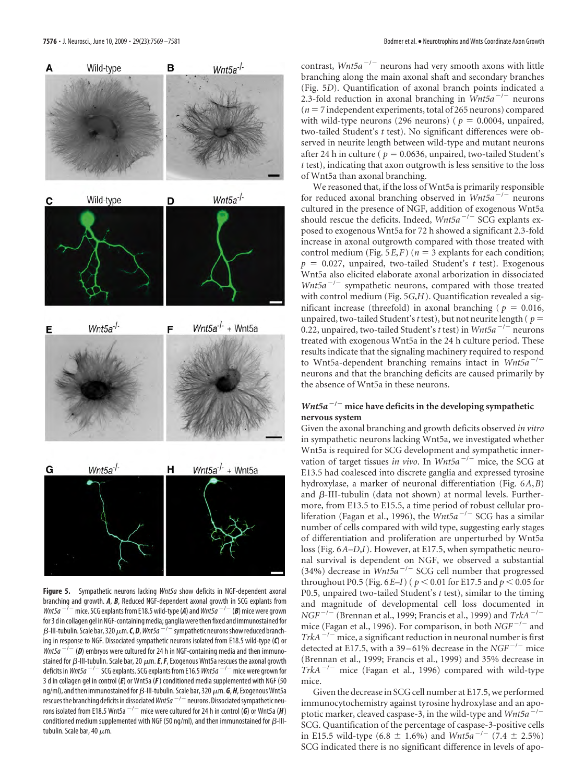

**Figure 5.** Sympathetic neurons lacking *Wnt5a* show deficits in NGF-dependent axonal branching and growth. *A*, *B*, Reduced NGF-dependent axonal growth in SCG explants from *Wnt5a*  $\frac{-}{7}$  mice. SCG explants from E18.5 wild-type (A) and *Wnt5a*  $\frac{-}{7}$  (B) mice were grown for 3 d in collagen gel in NGF-containing media; ganglia were then fixed and immunostained for  $\beta$ -III-tubulin. Scale bar, 320  $\mu$ m. *C*, *D*, *Wnt5a*  $^{-7}$  sympathetic neurons show reduced branching in response to NGF. Dissociated sympathetic neurons isolated from E18.5 wild-type (*C*) or *Wnt5a*  $^{-/-}$  (D) embryos were cultured for 24 h in NGF-containing media and then immunostained for  $\beta$ -III-tubulin. Scale bar, 20  $\mu$ m. *E*, *F*, Exogenous Wnt5a rescues the axonal growth deficits in *Wnt5a<sup>-/-</sup>SCG* explants. SCG explants from E16.5 *Wnt5a<sup>-/-</sup>* mice were grown for 3 d in collagen gel in control (*E*) or Wnt5a (*F*) conditioned media supplemented with NGF (50 ng/ml), and then immunostained for  $\beta$ -III-tubulin. Scale bar, 320  $\mu$ m. **G, H**, Exogenous Wnt5a rescues the branching deficits in dissociated  $Wn5a^{-/-}$  neurons. Dissociated sympathetic neurons isolated from E18.5 Wnt5a  $^{-/-}$  mice were cultured for 24 h in control (G) or Wnt5a (H) conditioned medium supplemented with NGF (50 ng/ml), and then immunostained for  $\beta$ -IIItubulin. Scale bar, 40  $\mu$ m.

contrast,  $Wnt5a^{-/-}$  neurons had very smooth axons with little branching along the main axonal shaft and secondary branches (Fig. 5*D*). Quantification of axonal branch points indicated a 2.3-fold reduction in axonal branching in *Wnt5a<sup>-/-</sup>* neurons  $(n = 7$  independent experiments, total of 265 neurons) compared with wild-type neurons (296 neurons) ( $p = 0.0004$ , unpaired, two-tailed Student's *t* test). No significant differences were observed in neurite length between wild-type and mutant neurons after 24 h in culture ( $p = 0.0636$ , unpaired, two-tailed Student's *t* test), indicating that axon outgrowth is less sensitive to the loss of Wnt5a than axonal branching.

We reasoned that, if the loss of Wnt5a is primarily responsible for reduced axonal branching observed in *Wnt5a<sup>-/-</sup>* neurons cultured in the presence of NGF, addition of exogenous Wnt5a should rescue the deficits. Indeed, *Wnt5a<sup>-/-</sup>* SCG explants exposed to exogenous Wnt5a for 72 h showed a significant 2.3-fold increase in axonal outgrowth compared with those treated with control medium (Fig.  $5E$ , F) ( $n = 3$  explants for each condition;  $p = 0.027$ , unpaired, two-tailed Student's *t* test). Exogenous Wnt5a also elicited elaborate axonal arborization in dissociated *Wnt5a<sup>-/-</sup>* sympathetic neurons, compared with those treated with control medium (Fig. 5*G*,*H*). Quantification revealed a significant increase (threefold) in axonal branching ( $p = 0.016$ , unpaired, two-tailed Student's*t* test), but not neurite length ( *p* 0.22, unpaired, two-tailed Student's *t* test) in *Wnt5a<sup>-/-</sup>* neurons treated with exogenous Wnt5a in the 24 h culture period. These results indicate that the signaling machinery required to respond to Wnt5a-dependent branching remains intact in *Wnt5a<sup>-/-</sup>* neurons and that the branching deficits are caused primarily by the absence of Wnt5a in these neurons.

## *Wnt5a<sup>-/-</sup>* mice have deficits in the developing sympathetic **nervous system**

Given the axonal branching and growth deficits observed *in vitro* in sympathetic neurons lacking Wnt5a, we investigated whether Wnt5a is required for SCG development and sympathetic innervation of target tissues *in vivo*. In *Wnt5a<sup>-/-</sup>* mice, the SCG at E13.5 had coalesced into discrete ganglia and expressed tyrosine hydroxylase, a marker of neuronal differentiation (Fig. 6*A*,*B*) and  $\beta$ -III-tubulin (data not shown) at normal levels. Furthermore, from E13.5 to E15.5, a time period of robust cellular proliferation (Fagan et al., 1996), the *Wnt5a<sup>-/-</sup>* SCG has a similar number of cells compared with wild type, suggesting early stages of differentiation and proliferation are unperturbed by Wnt5a loss (Fig. 6*A–D<sub>1</sub>I*). However, at E17.5, when sympathetic neuronal survival is dependent on NGF, we observed a substantial (34%) decrease in  $Wnt5a^{-/-}$  SCG cell number that progressed throughout P0.5 (Fig. 6*E–I*) ( $p < 0.01$  for E17.5 and  $p < 0.05$  for P0.5, unpaired two-tailed Student's *t* test), similar to the timing and magnitude of developmental cell loss documented in *NGF<sup>-/-</sup>* (Brennan et al., 1999; Francis et al., 1999) and *TrkA*<sup>-</sup> mice (Fagan et al., 1996). For comparison, in both *NGF<sup>-/-</sup>* and  $TrkA^{-1}$  mice, a significant reduction in neuronal number is first detected at E17.5, with a 39–61% decrease in the  $NGF^{-/-}$  mice (Brennan et al., 1999; Francis et al., 1999) and 35% decrease in *TrkA*<sup>-/-</sup> mice (Fagan et al., 1996) compared with wild-type mice.

Given the decrease in SCG cell number at E17.5, we performed immunocytochemistry against tyrosine hydroxylase and an apoptotic marker, cleaved caspase-3, in the wild-type and  $Wnt5a^{-/-}$ SCG. Quantification of the percentage of caspase-3-positive cells in E15.5 wild-type (6.8  $\pm$  1.6%) and *Wnt5a<sup>-/-</sup>* (7.4  $\pm$  2.5%) SCG indicated there is no significant difference in levels of apo-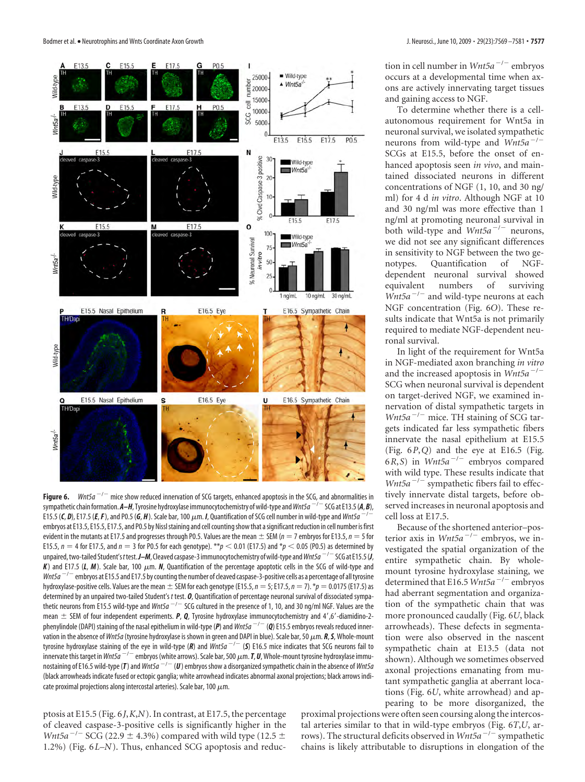

**Figure 6.** *Wnt5a*  $^{-/-}$  mice show reduced innervation of SCG targets, enhanced apoptosis in the SCG, and abnormalities in sympathetic chain formation.  $A$ –*H*, Tyrosine hydroxylase immunocytochemistry of wild-type and *Wnt5a*  $^{-/-}$  SCG at E13.5(*A*, *B*), E15.5 (C, D), E17.5 (E, F), and P0.5 (G, H). Scale bar, 100  $\mu$ m. *I*, Quantification of SCG cell number in wild-type and *Wnt5a* – embryos at E13.5, E15.5, E17.5, and P0.5 by Nissl staining and cell counting show that a significant reduction in cell number is first evident in the mutants at E17.5 and progresses through P0.5. Values are the mean  $\pm$  SEM ( $n = 7$  embryos for E13.5,  $n = 5$  for E15.5,  $n = 4$  for E17.5, and  $n = 3$  for P0.5 for each genotype). \*\* $p < 0.01$  (E17.5) and \* $p < 0.05$  (P0.5) as determined by unpaired, two-tailed Student's *t* test. **J–M**, Cleaved caspase-3 immunocytochemistry of wild-type and Wnt5a<sup>-/-</sup>SCG at E15.5 (**J**,  $K$ ) and E17.5 ( $L$ ,  $M$ ). Scale bar, 100  $\mu$ m.  $N$ , Quantification of the percentage apoptotic cells in the SCG of wild-type and *Wnt5a*  $^{-/-}$  embryos at E15.5 and E17.5 by counting the number of cleaved caspase-3-positive cells as a percentage of all tyrosine hydroxylase-positive cells. Values are the mean  $\pm$  SEM for each genotype (E15.5,  $n = 5$ ; E17.5,  $n = 7$ ). \* $p = 0.0175$  (E17.5) as determined by an unpaired two-tailed Student's *t* test. *O*, Quantification of percentage neuronal survival of dissociated sympathetic neurons from E15.5 wild-type and *Wnt5a<sup>-/-</sup>SCG* cultured in the presence of 1, 10, and 30 ng/ml NGF. Values are the mean  $\pm$  SEM of four independent experiments. *P*, *Q*, Tyrosine hydroxylase immunocytochemistry and 4',6'-diamidino-2phenylindole (DAPI) staining of the nasal epithelium in wild-type (P) and Wnt5a<sup>-/-</sup> (Q) E15.5 embryos reveals reduced innervation in the absence of *Wnt5a* (tyrosine hydroxylase is shown in green and DAPI in blue). Scale bar, 50  $\mu$ m. *R*, *S*, Whole-mount tyrosine hydroxylase staining of the eye in wild-type (R) and *Wnt5a<sup>-/-</sup>* (S) E16.5 mice indicates that SCG neurons fail to innervate this target in *Wnt5a*  $-/-$  embryos (white arrows). Scale bar, 500  $\mu$ m. **T,** *U*, Whole-mount tyrosine hydroxylase immunostaining of E16.5 wild-type (T) and *Wnt5a*  $^{-/-}$  (U) embryos show a disorganized sympathetic chain in the absence of *Wnt5a* (black arrowheads indicate fused or ectopic ganglia; white arrowhead indicates abnormal axonal projections; black arrows indicate proximal projections along intercostal arteries). Scale bar, 100  $\mu$ m.

ptosis at E15.5 (Fig. 6*J*,*K*,*N*). In contrast, at E17.5, the percentage of cleaved caspase-3-positive cells is significantly higher in the *Wnt5a*<sup> $-/-$ </sup> SCG (22.9  $\pm$  4.3%) compared with wild type (12.5  $\pm$ 1.2%) (Fig. 6*L–N*). Thus, enhanced SCG apoptosis and reduction in cell number in *Wnt5a<sup>-/-</sup>* embryos occurs at a developmental time when axons are actively innervating target tissues and gaining access to NGF.

To determine whether there is a cellautonomous requirement for Wnt5a in neuronal survival, we isolated sympathetic neurons from wild-type and  $Wnt5a^{-/-}$ SCGs at E15.5, before the onset of enhanced apoptosis seen *in vivo*, and maintained dissociated neurons in different concentrations of NGF (1, 10, and 30 ng/ ml) for 4 d *in vitro*. Although NGF at 10 and 30 ng/ml was more effective than 1 ng/ml at promoting neuronal survival in both wild-type and *Wnt5a<sup>-/-</sup>* neurons, we did not see any significant differences in sensitivity to NGF between the two genotypes. Quantification of NGFdependent neuronal survival showed<br>equivalent numbers of surviving numbers of surviving  $Wnt5a^{-/-}$  and wild-type neurons at each NGF concentration (Fig. 6*O*). These results indicate that Wnt5a is not primarily required to mediate NGF-dependent neuronal survival.

In light of the requirement for Wnt5a in NGF-mediated axon branching *in vitro* and the increased apoptosis in  $Wnt5a^{-/-}$ SCG when neuronal survival is dependent on target-derived NGF, we examined innervation of distal sympathetic targets in *Wnt5a*  $^{-/-}$  mice. TH staining of SCG targets indicated far less sympathetic fibers innervate the nasal epithelium at E15.5 (Fig. 6*P*,*Q*) and the eye at E16.5 (Fig.  $6R, S$ ) in *Wnt5a<sup>-/-</sup>* embryos compared with wild type. These results indicate that *Wnt5a*<sup> $-/-$ </sup> sympathetic fibers fail to effectively innervate distal targets, before observed increases in neuronal apoptosis and cell loss at E17.5.

Because of the shortened anterior–posterior axis in  $Wnt5a^{-/-}$  embryos, we investigated the spatial organization of the entire sympathetic chain. By wholemount tyrosine hydroxylase staining, we determined that E16.5 *Wnt5a<sup>-/-</sup>* embryos had aberrant segmentation and organization of the sympathetic chain that was more pronounced caudally (Fig. 6*U*, black arrowheads). These defects in segmentation were also observed in the nascent sympathetic chain at E13.5 (data not shown). Although we sometimes observed axonal projections emanating from mutant sympathetic ganglia at aberrant locations (Fig. 6*U*, white arrowhead) and appearing to be more disorganized, the

proximal projections were often seen coursing along the intercostal arteries similar to that in wild-type embryos (Fig. 6*T*,*U*, arrows). The structural deficits observed in *Wnt5a<sup>-/-</sup>* sympathetic chains is likely attributable to disruptions in elongation of the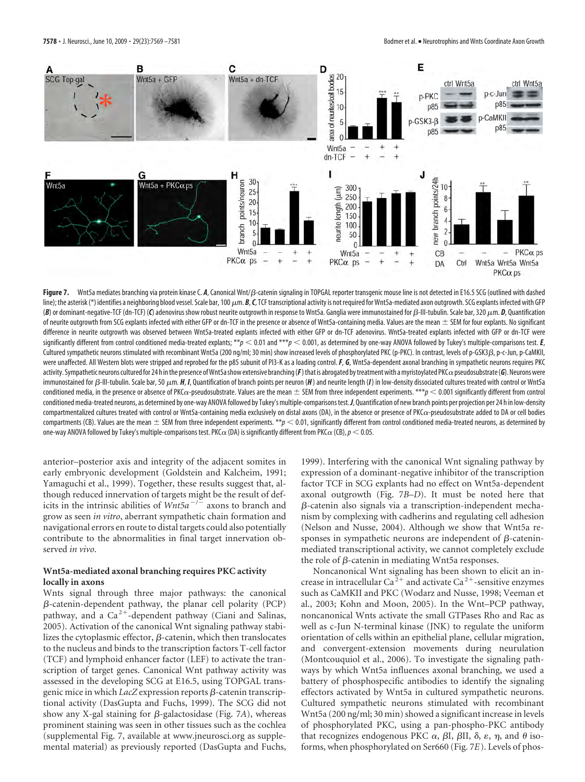

Figure 7. Wnt5a mediates branching via protein kinase C. A, Canonical Wnt/ $\beta$ -catenin signaling in TOPGAL reporter transgenic mouse line is not detected in E16.5 SCG (outlined with dashed line); the asterisk (\*) identifies a neighboring blood vessel. Scale bar, 100  $\mu$ m. *B*, C, TCF transcriptional activity is not required for Wnt5a-mediated axon outgrowth. SCG explants infected with GFP (B) or dominant-negative-TCF (dn-TCF) (C) adenovirus show robust neurite outgrowth in response to Wnt5a. Ganglia were immunostained for β-III-tubulin. Scale bar, 320 μm. **D**, Quantification of neurite outgrowth from SCG explants infected with either GFP or dn-TCF in the presence or absence of Wnt5a-containing media. Values are the mean  $\pm$  SEM for four explants. No significant difference in neurite outgrowth was observed between Wnt5a-treated explants infected with either GFP or dn-TCF adenovirus. Wnt5a-treated explants infected with GFP or dn-TCF were significantly different from control conditioned media-treated explants; \*\* $p < 0.01$  and \*\*\* $p < 0.001$ , as determined by one-way ANOVA followed by Tukey's multiple-comparisons test. *E*, Cultured sympathetic neurons stimulated with recombinant Wnt5a (200 ng/ml; 30 min) show increased levels of phosphorylated PKC (p-PKC). In contrast, levels of p-GSK3, p-c-Jun, p-CaMKII, were unaffected. All Western blots were stripped and reprobed for the p85 subunit of PI3-K as a loading control.*F*, *G*, Wnt5a-dependent axonal branching in sympathetic neurons requires PKC activity. Sympathetic neurons cultured for 24 h in the presence of Wnt5a show extensive branching (*F*) that is abrogated by treatment with a myristoylated PKC $\alpha$  pseudosubstrate (*G*). Neurons were immunostained for β-III-tubulin. Scale bar, 50 μm. *H*, *I*, Quantification of branch points per neuron (*H*) and neurite length (*I*) in low-density dissociated cultures treated with control or Wnt5a conditioned media, in the presence or absence of PKC $\alpha$ -pseudosubstrate. Values are the mean  $\pm$  SEM from three independent experiments. \*\*\* $p < 0.001$  significantly different from control conditioned media-treated neurons, as determined by one-way ANOVA followed by Tukey's multiple-comparisons test.*J*, Quantification of new branch points per projection per 24 h in low-density compartmentalized cultures treated with control or Wnt5a-containing media exclusively on distal axons (DA), in the absence or presence of PKC $\alpha$ -pseudosubstrate added to DA or cell bodies compartments (CB). Values are the mean  $\pm$  SEM from three independent experiments.  $*$  $p < 0.01$ , significantly different from control conditioned media-treated neurons, as determined by one-way ANOVA followed by Tukey's multiple-comparisons test. PKC $\alpha$  (DA) is significantly different from PKC $\alpha$  (CB),  $p < 0.05$ .

anterior–posterior axis and integrity of the adjacent somites in early embryonic development (Goldstein and Kalcheim, 1991; Yamaguchi et al., 1999). Together, these results suggest that, although reduced innervation of targets might be the result of deficits in the intrinsic abilities of  $Wnt5a^{-/-}$  axons to branch and grow as seen *in vitro*, aberrant sympathetic chain formation and navigational errors en route to distal targets could also potentially contribute to the abnormalities in final target innervation observed *in vivo*.

## **Wnt5a-mediated axonal branching requires PKC activity locally in axons**

Wnts signal through three major pathways: the canonical  $\beta$ -catenin-dependent pathway, the planar cell polarity (PCP) pathway, and a Ca<sup>2+</sup>-dependent pathway (Ciani and Salinas, 2005). Activation of the canonical Wnt signaling pathway stabilizes the cytoplasmic effector,  $\beta$ -catenin, which then translocates to the nucleus and binds to the transcription factors T-cell factor (TCF) and lymphoid enhancer factor (LEF) to activate the transcription of target genes. Canonical Wnt pathway activity was assessed in the developing SCG at E16.5, using TOPGAL transgenic mice in which *LacZ* expression reports β-catenin transcriptional activity (DasGupta and Fuchs, 1999). The SCG did not show any X-gal staining for  $\beta$ -galactosidase (Fig. 7*A*), whereas prominent staining was seen in other tissues such as the cochlea (supplemental Fig. 7, available at www.jneurosci.org as supplemental material) as previously reported (DasGupta and Fuchs,

1999). Interfering with the canonical Wnt signaling pathway by expression of a dominant-negative inhibitor of the transcription factor TCF in SCG explants had no effect on Wnt5a-dependent axonal outgrowth (Fig. 7*B–D*). It must be noted here that  $\beta$ -catenin also signals via a transcription-independent mechanism by complexing with cadherins and regulating cell adhesion (Nelson and Nusse, 2004). Although we show that Wnt5a responses in sympathetic neurons are independent of  $\beta$ -cateninmediated transcriptional activity, we cannot completely exclude the role of  $\beta$ -catenin in mediating Wnt5a responses.

Noncanonical Wnt signaling has been shown to elicit an increase in intracellular Ca<sup>2+</sup> and activate Ca<sup>2+</sup>-sensitive enzymes such as CaMKII and PKC (Wodarz and Nusse, 1998; Veeman et al., 2003; Kohn and Moon, 2005). In the Wnt–PCP pathway, noncanonical Wnts activate the small GTPases Rho and Rac as well as c-Jun N-terminal kinase (JNK) to regulate the uniform orientation of cells within an epithelial plane, cellular migration, and convergent-extension movements during neurulation (Montcouquiol et al., 2006). To investigate the signaling pathways by which Wnt5a influences axonal branching, we used a battery of phosphospecific antibodies to identify the signaling effectors activated by Wnt5a in cultured sympathetic neurons. Cultured sympathetic neurons stimulated with recombinant Wnt5a (200 ng/ml; 30 min) showed a significant increase in levels of phosphorylated PKC, using a pan-phospho-PKC antibody that recognizes endogenous PKC  $\alpha$ ,  $\beta$ I,  $\beta$ II,  $\delta$ ,  $\epsilon$ ,  $\eta$ , and  $\theta$  isoforms, when phosphorylated on Ser660 (Fig. 7*E*). Levels of phos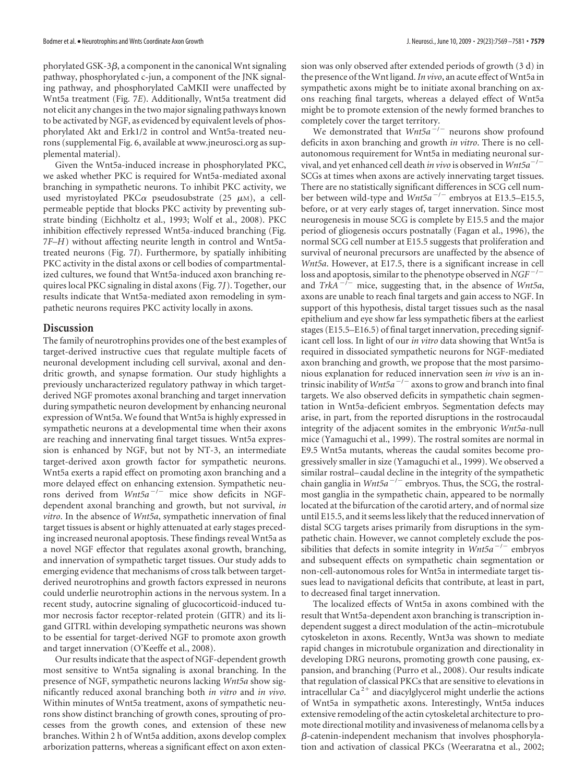phorylated GSK-3 $\beta$ , a component in the canonical Wnt signaling pathway, phosphorylated c-jun, a component of the JNK signaling pathway, and phosphorylated CaMKII were unaffected by Wnt5a treatment (Fig. 7*E*). Additionally, Wnt5a treatment did not elicit any changes in the two major signaling pathways known to be activated by NGF, as evidenced by equivalent levels of phosphorylated Akt and Erk1/2 in control and Wnt5a-treated neurons (supplemental Fig. 6, available at www.jneurosci.org as supplemental material).

Given the Wnt5a-induced increase in phosphorylated PKC, we asked whether PKC is required for Wnt5a-mediated axonal branching in sympathetic neurons. To inhibit PKC activity, we used myristoylated PKC $\alpha$  pseudosubstrate (25  $\mu$ M), a cellpermeable peptide that blocks PKC activity by preventing substrate binding (Eichholtz et al., 1993; Wolf et al., 2008). PKC inhibition effectively repressed Wnt5a-induced branching (Fig. 7*F–H*) without affecting neurite length in control and Wnt5atreated neurons (Fig. 7*I*). Furthermore, by spatially inhibiting PKC activity in the distal axons or cell bodies of compartmentalized cultures, we found that Wnt5a-induced axon branching requires local PKC signaling in distal axons (Fig. 7*J*). Together, our results indicate that Wnt5a-mediated axon remodeling in sympathetic neurons requires PKC activity locally in axons.

#### **Discussion**

The family of neurotrophins provides one of the best examples of target-derived instructive cues that regulate multiple facets of neuronal development including cell survival, axonal and dendritic growth, and synapse formation. Our study highlights a previously uncharacterized regulatory pathway in which targetderived NGF promotes axonal branching and target innervation during sympathetic neuron development by enhancing neuronal expression of Wnt5a. We found that Wnt5a is highly expressed in sympathetic neurons at a developmental time when their axons are reaching and innervating final target tissues. Wnt5a expression is enhanced by NGF, but not by NT-3, an intermediate target-derived axon growth factor for sympathetic neurons. Wnt5a exerts a rapid effect on promoting axon branching and a more delayed effect on enhancing extension. Sympathetic neurons derived from *Wnt5a<sup>-/-</sup>* mice show deficits in NGFdependent axonal branching and growth, but not survival, *in vitro*. In the absence of *Wnt5a*, sympathetic innervation of final target tissues is absent or highly attenuated at early stages preceding increased neuronal apoptosis. These findings reveal Wnt5a as a novel NGF effector that regulates axonal growth, branching, and innervation of sympathetic target tissues. Our study adds to emerging evidence that mechanisms of cross talk between targetderived neurotrophins and growth factors expressed in neurons could underlie neurotrophin actions in the nervous system. In a recent study, autocrine signaling of glucocorticoid-induced tumor necrosis factor receptor-related protein (GITR) and its ligand GITRL within developing sympathetic neurons was shown to be essential for target-derived NGF to promote axon growth and target innervation (O'Keeffe et al., 2008).

Our results indicate that the aspect of NGF-dependent growth most sensitive to Wnt5a signaling is axonal branching. In the presence of NGF, sympathetic neurons lacking *Wnt5a* show significantly reduced axonal branching both *in vitro* and *in vivo*. Within minutes of Wnt5a treatment, axons of sympathetic neurons show distinct branching of growth cones, sprouting of processes from the growth cones, and extension of these new branches. Within 2 h of Wnt5a addition, axons develop complex arborization patterns, whereas a significant effect on axon extension was only observed after extended periods of growth (3 d) in the presence of theWnt ligand.*In vivo*, an acute effect ofWnt5a in sympathetic axons might be to initiate axonal branching on axons reaching final targets, whereas a delayed effect of Wnt5a might be to promote extension of the newly formed branches to completely cover the target territory.

We demonstrated that *Wnt5a<sup>-/-</sup>* neurons show profound deficits in axon branching and growth *in vitro*. There is no cellautonomous requirement for Wnt5a in mediating neuronal survival, and yet enhanced cell death *in vivo* is observed in *Wnt5a<sup>-/-</sup>* SCGs at times when axons are actively innervating target tissues. There are no statistically significant differences in SCG cell number between wild-type and *Wnt5a<sup>-/-</sup>* embryos at E13.5-E15.5, before, or at very early stages of, target innervation. Since most neurogenesis in mouse SCG is complete by E15.5 and the major period of gliogenesis occurs postnatally (Fagan et al., 1996), the normal SCG cell number at E15.5 suggests that proliferation and survival of neuronal precursors are unaffected by the absence of *Wnt5a*. However, at E17.5, there is a significant increase in cell loss and apoptosis, similar to the phenotype observed in *NGF<sup>-/-*</sup> and *TrkA*<sup>-/-</sup> mice, suggesting that, in the absence of *Wnt5a*, axons are unable to reach final targets and gain access to NGF. In support of this hypothesis, distal target tissues such as the nasal epithelium and eye show far less sympathetic fibers at the earliest stages (E15.5–E16.5) of final target innervation, preceding significant cell loss. In light of our *in vitro* data showing that Wnt5a is required in dissociated sympathetic neurons for NGF-mediated axon branching and growth, we propose that the most parsimonious explanation for reduced innervation seen *in vivo* is an intrinsic inability of  $Wnt5a^{-/-}$  axons to grow and branch into final targets. We also observed deficits in sympathetic chain segmentation in Wnt5a-deficient embryos. Segmentation defects may arise, in part, from the reported disruptions in the rostrocaudal integrity of the adjacent somites in the embryonic *Wnt5a*-null mice (Yamaguchi et al., 1999). The rostral somites are normal in E9.5 Wnt5a mutants, whereas the caudal somites become progressively smaller in size (Yamaguchi et al., 1999). We observed a similar rostral– caudal decline in the integrity of the sympathetic chain ganglia in *Wnt5a<sup>-/-</sup>* embryos. Thus, the SCG, the rostralmost ganglia in the sympathetic chain, appeared to be normally located at the bifurcation of the carotid artery, and of normal size until E15.5, and it seems less likely that the reduced innervation of distal SCG targets arises primarily from disruptions in the sympathetic chain. However, we cannot completely exclude the possibilities that defects in somite integrity in  $Wnt5a^{-1}$  embryos and subsequent effects on sympathetic chain segmentation or non-cell-autonomous roles for Wnt5a in intermediate target tissues lead to navigational deficits that contribute, at least in part, to decreased final target innervation.

The localized effects of Wnt5a in axons combined with the result that Wnt5a-dependent axon branching is transcription independent suggest a direct modulation of the actin–microtubule cytoskeleton in axons. Recently, Wnt3a was shown to mediate rapid changes in microtubule organization and directionality in developing DRG neurons, promoting growth cone pausing, expansion, and branching (Purro et al., 2008). Our results indicate that regulation of classical PKCs that are sensitive to elevations in intracellular  $Ca^{2+}$  and diacylglycerol might underlie the actions of Wnt5a in sympathetic axons. Interestingly, Wnt5a induces extensive remodeling of the actin cytoskeletal architecture to promote directional motility and invasiveness of melanoma cells by a  $\beta$ -catenin-independent mechanism that involves phosphorylation and activation of classical PKCs (Weeraratna et al., 2002;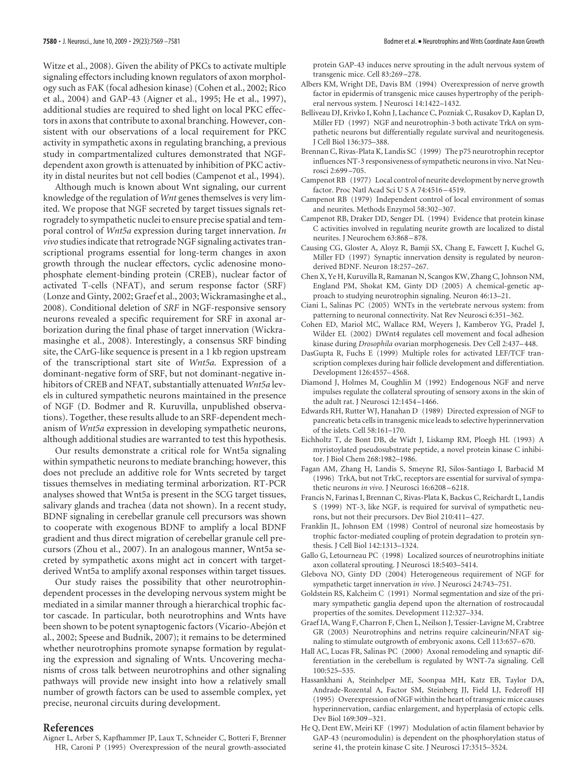Witze et al., 2008). Given the ability of PKCs to activate multiple signaling effectors including known regulators of axon morphology such as FAK (focal adhesion kinase) (Cohen et al., 2002; Rico et al., 2004) and GAP-43 (Aigner et al., 1995; He et al., 1997), additional studies are required to shed light on local PKC effectors in axons that contribute to axonal branching. However, consistent with our observations of a local requirement for PKC activity in sympathetic axons in regulating branching, a previous study in compartmentalized cultures demonstrated that NGFdependent axon growth is attenuated by inhibition of PKC activity in distal neurites but not cell bodies (Campenot et al., 1994).

Although much is known about Wnt signaling, our current knowledge of the regulation of *Wnt* genes themselves is very limited. We propose that NGF secreted by target tissues signals retrogradely to sympathetic nuclei to ensure precise spatial and temporal control of *Wnt5a* expression during target innervation. *In vivo* studies indicate that retrograde NGF signaling activates transcriptional programs essential for long-term changes in axon growth through the nuclear effectors, cyclic adenosine monophosphate element-binding protein (CREB), nuclear factor of activated T-cells (NFAT), and serum response factor (SRF) (Lonze and Ginty, 2002; Graef et al., 2003; Wickramasinghe et al., 2008). Conditional deletion of *SRF* in NGF-responsive sensory neurons revealed a specific requirement for SRF in axonal arborization during the final phase of target innervation (Wickramasinghe et al., 2008). Interestingly, a consensus SRF binding site, the CArG-like sequence is present in a 1 kb region upstream of the transcriptional start site of *Wnt5a*. Expression of a dominant-negative form of SRF, but not dominant-negative inhibitors of CREB and NFAT, substantially attenuated *Wnt5a* levels in cultured sympathetic neurons maintained in the presence of NGF (D. Bodmer and R. Kuruvilla, unpublished observations). Together, these results allude to an SRF-dependent mechanism of *Wnt5a* expression in developing sympathetic neurons, although additional studies are warranted to test this hypothesis.

Our results demonstrate a critical role for Wnt5a signaling within sympathetic neurons to mediate branching; however, this does not preclude an additive role for Wnts secreted by target tissues themselves in mediating terminal arborization. RT-PCR analyses showed that Wnt5a is present in the SCG target tissues, salivary glands and trachea (data not shown). In a recent study, BDNF signaling in cerebellar granule cell precursors was shown to cooperate with exogenous BDNF to amplify a local BDNF gradient and thus direct migration of cerebellar granule cell precursors (Zhou et al., 2007). In an analogous manner, Wnt5a secreted by sympathetic axons might act in concert with targetderived Wnt5a to amplify axonal responses within target tissues.

Our study raises the possibility that other neurotrophindependent processes in the developing nervous system might be mediated in a similar manner through a hierarchical trophic factor cascade. In particular, both neurotrophins and Wnts have been shown to be potent synaptogenic factors (Vicario-Abejón et al., 2002; Speese and Budnik, 2007); it remains to be determined whether neurotrophins promote synapse formation by regulating the expression and signaling of Wnts. Uncovering mechanisms of cross talk between neurotrophins and other signaling pathways will provide new insight into how a relatively small number of growth factors can be used to assemble complex, yet precise, neuronal circuits during development.

#### **References**

Aigner L, Arber S, Kapfhammer JP, Laux T, Schneider C, Botteri F, Brenner HR, Caroni P (1995) Overexpression of the neural growth-associated protein GAP-43 induces nerve sprouting in the adult nervous system of transgenic mice. Cell 83:269 –278.

- Albers KM, Wright DE, Davis BM (1994) Overexpression of nerve growth factor in epidermis of transgenic mice causes hypertrophy of the peripheral nervous system. J Neurosci 14:1422–1432.
- Belliveau DJ, Krivko I, Kohn J, Lachance C, Pozniak C, Rusakov D, Kaplan D, Miller FD (1997) NGF and neurotrophin-3 both activate TrkA on sympathetic neurons but differentially regulate survival and neuritogenesis. J Cell Biol 136:375–388.
- Brennan C, Rivas-Plata K, Landis SC (1999) The p75 neurotrophin receptor influences NT-3 responsiveness of sympathetic neurons in vivo. Nat Neurosci 2:699 –705.
- Campenot RB (1977) Local control of neurite development by nerve growth factor. Proc Natl Acad Sci U S A 74:4516 –4519.
- Campenot RB (1979) Independent control of local environment of somas and neurites. Methods Enzymol 58:302–307.
- Campenot RB, Draker DD, Senger DL (1994) Evidence that protein kinase C activities involved in regulating neurite growth are localized to distal neurites. J Neurochem 63:868 –878.
- Causing CG, Gloster A, Aloyz R, Bamji SX, Chang E, Fawcett J, Kuchel G, Miller FD (1997) Synaptic innervation density is regulated by neuronderived BDNF. Neuron 18:257–267.
- Chen X, Ye H, Kuruvilla R, Ramanan N, Scangos KW, Zhang C, Johnson NM, England PM, Shokat KM, Ginty DD (2005) A chemical-genetic approach to studying neurotrophin signaling. Neuron 46:13–21.
- Ciani L, Salinas PC (2005) WNTs in the vertebrate nervous system: from patterning to neuronal connectivity. Nat Rev Neurosci 6:351–362.
- Cohen ED, Mariol MC, Wallace RM, Weyers J, Kamberov YG, Pradel J, Wilder EL (2002) DWnt4 regulates cell movement and focal adhesion kinase during *Drosophila* ovarian morphogenesis. Dev Cell 2:437–448.
- DasGupta R, Fuchs E (1999) Multiple roles for activated LEF/TCF transcription complexes during hair follicle development and differentiation. Development 126:4557–4568.
- Diamond J, Holmes M, Coughlin M (1992) Endogenous NGF and nerve impulses regulate the collateral sprouting of sensory axons in the skin of the adult rat. J Neurosci 12:1454 –1466.
- Edwards RH, Rutter WJ, Hanahan D (1989) Directed expression of NGF to pancreatic beta cells in transgenic mice leads to selective hyperinnervation of the islets. Cell 58:161–170.
- Eichholtz T, de Bont DB, de Widt J, Liskamp RM, Ploegh HL (1993) A myristoylated pseudosubstrate peptide, a novel protein kinase C inhibitor. J Biol Chem 268:1982–1986.
- Fagan AM, Zhang H, Landis S, Smeyne RJ, Silos-Santiago I, Barbacid M (1996) TrkA, but not TrkC, receptors are essential for survival of sympathetic neurons *in vivo*. J Neurosci 16:6208 –6218.
- Francis N, Farinas I, Brennan C, Rivas-Plata K, Backus C, Reichardt L, Landis S (1999) NT-3, like NGF, is required for survival of sympathetic neurons, but not their precursors. Dev Biol 210:411–427.
- Franklin JL, Johnson EM (1998) Control of neuronal size homeostasis by trophic factor-mediated coupling of protein degradation to protein synthesis. J Cell Biol 142:1313–1324.
- Gallo G, Letourneau PC (1998) Localized sources of neurotrophins initiate axon collateral sprouting. J Neurosci 18:5403–5414.
- Glebova NO, Ginty DD (2004) Heterogeneous requirement of NGF for sympathetic target innervation *in vivo*. J Neurosci 24:743–751.
- Goldstein RS, Kalcheim C (1991) Normal segmentation and size of the primary sympathetic ganglia depend upon the alternation of rostrocaudal properties of the somites. Development 112:327–334.
- Graef IA, Wang F, Charron F, Chen L, Neilson J, Tessier-Lavigne M, Crabtree GR (2003) Neurotrophins and netrins require calcineurin/NFAT signaling to stimulate outgrowth of embryonic axons. Cell 113:657–670.
- Hall AC, Lucas FR, Salinas PC (2000) Axonal remodeling and synaptic differentiation in the cerebellum is regulated by WNT-7a signaling. Cell 100:525–535.
- Hassankhani A, Steinhelper ME, Soonpaa MH, Katz EB, Taylor DA, Andrade-Rozental A, Factor SM, Steinberg JJ, Field LJ, Federoff HJ (1995) Overexpression of NGF within the heart of transgenic mice causes hyperinnervation, cardiac enlargement, and hyperplasia of ectopic cells. Dev Biol 169:309 –321.
- He Q, Dent EW, Meiri KF (1997) Modulation of actin filament behavior by GAP-43 (neuromodulin) is dependent on the phosphorylation status of serine 41, the protein kinase C site. J Neurosci 17:3515–3524.